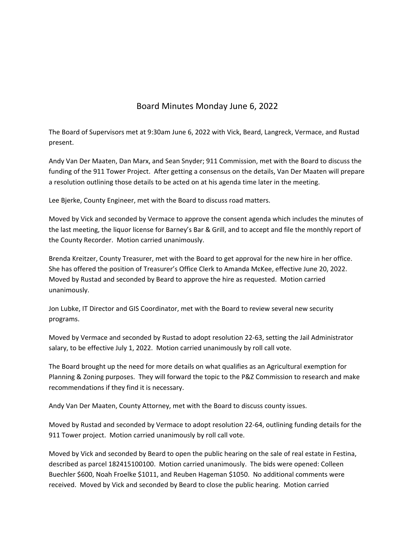## Board Minutes Monday June 6, 2022

The Board of Supervisors met at 9:30am June 6, 2022 with Vick, Beard, Langreck, Vermace, and Rustad present.

Andy Van Der Maaten, Dan Marx, and Sean Snyder; 911 Commission, met with the Board to discuss the funding of the 911 Tower Project. After getting a consensus on the details, Van Der Maaten will prepare a resolution outlining those details to be acted on at his agenda time later in the meeting.

Lee Bjerke, County Engineer, met with the Board to discuss road matters.

Moved by Vick and seconded by Vermace to approve the consent agenda which includes the minutes of the last meeting, the liquor license for Barney's Bar & Grill, and to accept and file the monthly report of the County Recorder. Motion carried unanimously.

Brenda Kreitzer, County Treasurer, met with the Board to get approval for the new hire in her office. She has offered the position of Treasurer's Office Clerk to Amanda McKee, effective June 20, 2022. Moved by Rustad and seconded by Beard to approve the hire as requested. Motion carried unanimously.

Jon Lubke, IT Director and GIS Coordinator, met with the Board to review several new security programs.

Moved by Vermace and seconded by Rustad to adopt resolution 22‐63, setting the Jail Administrator salary, to be effective July 1, 2022. Motion carried unanimously by roll call vote.

The Board brought up the need for more details on what qualifies as an Agricultural exemption for Planning & Zoning purposes. They will forward the topic to the P&Z Commission to research and make recommendations if they find it is necessary.

Andy Van Der Maaten, County Attorney, met with the Board to discuss county issues.

Moved by Rustad and seconded by Vermace to adopt resolution 22‐64, outlining funding details for the 911 Tower project. Motion carried unanimously by roll call vote.

Moved by Vick and seconded by Beard to open the public hearing on the sale of real estate in Festina, described as parcel 182415100100. Motion carried unanimously. The bids were opened: Colleen Buechler \$600, Noah Froelke \$1011, and Reuben Hageman \$1050. No additional comments were received. Moved by Vick and seconded by Beard to close the public hearing. Motion carried